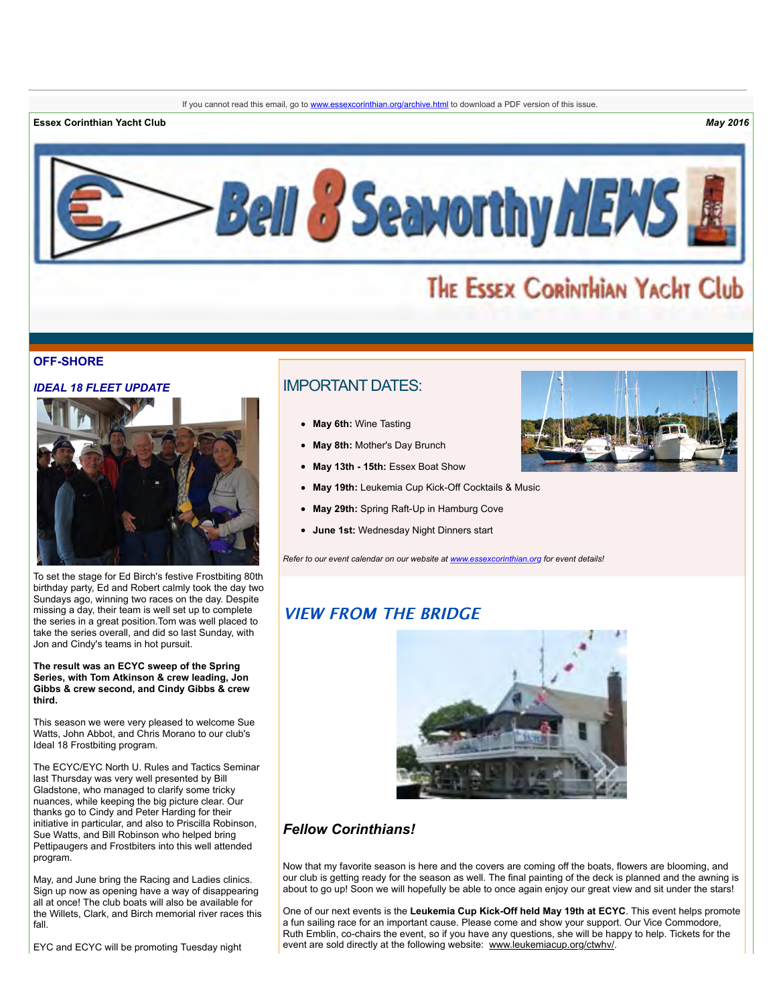**Essex Corinthian Yacht Club** *May 2016*



# THE ESSEX CORINTHIAN YACHT Club

#### **OFF-SHORE**

#### *IDEAL 18 FLEET UPDATE*



To set the stage for Ed Birch's festive Frostbiting 80th birthday party, Ed and Robert calmly took the day two Sundays ago, winning two races on the day. Despite missing a day, their team is well set up to complete the series in a great position.Tom was well placed to take the series overall, and did so last Sunday, with Jon and Cindy's teams in hot pursuit.

**The result was an ECYC sweep of the Spring Series, with Tom Atkinson & crew leading, Jon Gibbs & crew second, and Cindy Gibbs & crew third.** 

This season we were very pleased to welcome Sue Watts, John Abbot, and Chris Morano to our club's Ideal 18 Frostbiting program.

The ECYC/EYC North U. Rules and Tactics Seminar last Thursday was very well presented by Bill Gladstone, who managed to clarify some tricky nuances, while keeping the big picture clear. Our thanks go to Cindy and Peter Harding for their initiative in particular, and also to Priscilla Robinson, Sue Watts, and Bill Robinson who helped bring Pettipaugers and Frostbiters into this well attended program.

May, and June bring the Racing and Ladies clinics. Sign up now as opening have a way of disappearing all at once! The club boats will also be available for the Willets, Clark, and Birch memorial river races this fall.

EYC and ECYC will be promoting Tuesday night

# IMPORTANT DATES:

- **May 6th:** Wine Tasting
- **May 8th:** Mother's Day Brunch
- **May 13th 15th:** Essex Boat Show
- **May 19th:** Leukemia Cup Kick-Off Cocktails & Music
- **May 29th:** Spring Raft-Up in Hamburg Cove
- **June 1st:** Wednesday Night Dinners start

*Refer to our event calendar on our website at [www.essexcorinthian.org](http://r20.rs6.net/tn.jsp?e=001K82azs8few3Raw8PaSxsF3S4hXbG_VDt9Jq_HvQeyPFImTOujVvpM5_JMKrdkGv15szAeRVpFveFAFetXFrTl-aQEzh5N2KauCK_ZvcdXD3Y7HbwAQV4lQ==) for event details!*

# **VIEW FROM THE BRIDGE**



# *Fellow Corinthians!*

Now that my favorite season is here and the covers are coming off the boats, flowers are blooming, and our club is getting ready for the season as well. The final painting of the deck is planned and the awning is about to go up! Soon we will hopefully be able to once again enjoy our great view and sit under the stars!

One of our next events is the **Leukemia Cup Kick-Off held May 19th at ECYC**. This event helps promote a fun sailing race for an important cause. Please come and show your support. Our Vice Commodore, Ruth Emblin, co-chairs the event, so if you have any questions, she will be happy to help. Tickets for the event are sold directly at the following website: [www.leukemiacup.org/ctwhv/.](http://r20.rs6.net/tn.jsp?e=001K82azs8few3Raw8PaSxsF3S4hXbG_VDt9Jq_HvQeyPFImTOujVvpM5_JMKrdkGv15szAeRVpFvfusEUmVWzVN0i2qB5AMXannnsfj-ZqmOcWbIuyNk3eKpjTa5n362qg)

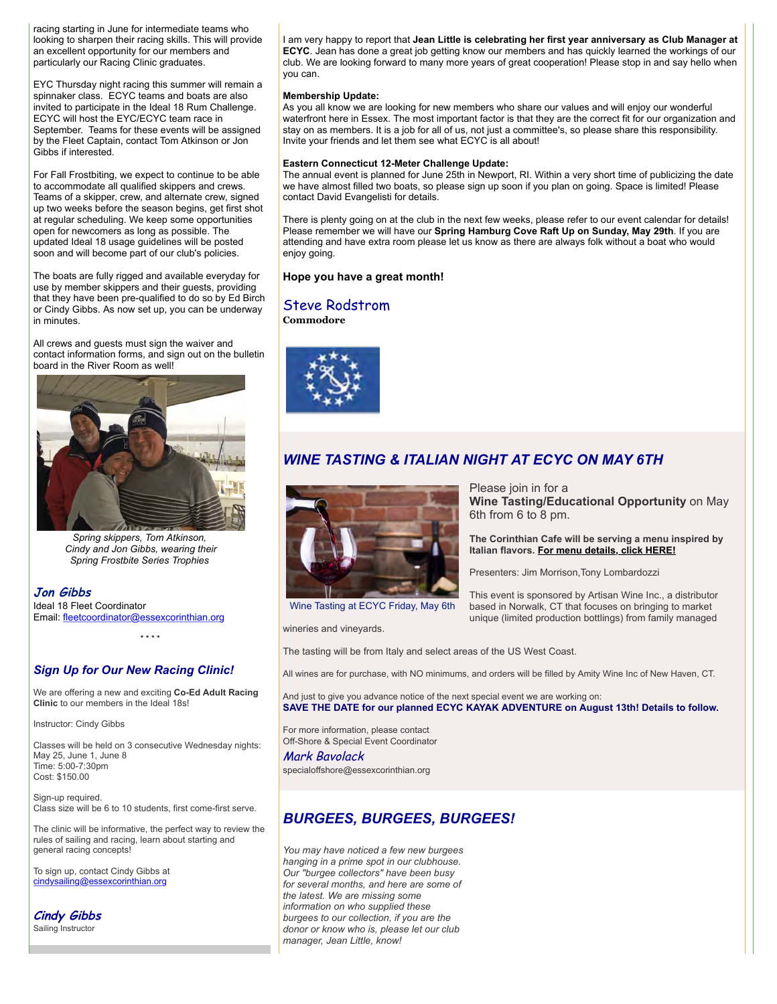racing starting in June for intermediate teams who looking to sharpen their racing skills. This will provide an excellent opportunity for our members and particularly our Racing Clinic graduates.

EYC Thursday night racing this summer will remain a spinnaker class. ECYC teams and boats are also invited to participate in the Ideal 18 Rum Challenge. ECYC will host the EYC/ECYC team race in September. Teams for these events will be assigned by the Fleet Captain, contact Tom Atkinson or Jon Gibbs if interested.

For Fall Frostbiting, we expect to continue to be able to accommodate all qualified skippers and crews. Teams of a skipper, crew, and alternate crew, signed up two weeks before the season begins, get first shot at regular scheduling. We keep some opportunities open for newcomers as long as possible. The updated Ideal 18 usage guidelines will be posted soon and will become part of our club's policies.

The boats are fully rigged and available everyday for use by member skippers and their guests, providing that they have been pre-qualified to do so by Ed Birch or Cindy Gibbs. As now set up, you can be underway in minutes.

All crews and guests must sign the waiver and contact information forms, and sign out on the bulletin board in the River Room as well!



*Spring skippers, Tom Atkinson, Cindy and Jon Gibbs, wearing their Spring Frostbite Series Trophies* 

**Jon Gibbs** Ideal 18 Fleet Coordinator Email: [fleetcoordinator@essexcorinthian.org](mailto:fleetcoordinator@essexcorinthian.org)

*Sign Up for Our New Racing Clinic!*

We are offering a new and exciting **Co-Ed Adult Racing Clinic** to our members in the Ideal 18s!

\* \* \* \*

Instructor: Cindy Gibbs

Classes will be held on 3 consecutive Wednesday nights: May 25, June 1, June 8 Time: 5:00-7:30pm Cost: \$150.00

Sign-up required. Class size will be 6 to 10 students, first come-first serve.

The clinic will be informative, the perfect way to review the rules of sailing and racing, learn about starting and general racing concepts!

To sign up, contact Cindy Gibbs at [cindysailing@essexcorinthian.org](mailto:cindysailing@essexcorinthian.org)

**Cindy Gibbs** Sailing Instructor

I am very happy to report that **Jean Little is celebrating her first year anniversary as Club Manager at ECYC**. Jean has done a great job getting know our members and has quickly learned the workings of our club. We are looking forward to many more years of great cooperation! Please stop in and say hello when you can.

#### **Membership Update:**

As you all know we are looking for new members who share our values and will enjoy our wonderful waterfront here in Essex. The most important factor is that they are the correct fit for our organization and stay on as members. It is a job for all of us, not just a committee's, so please share this responsibility. Invite your friends and let them see what ECYC is all about!

#### **Eastern Connecticut 12-Meter Challenge Update:**

The annual event is planned for June 25th in Newport, RI. Within a very short time of publicizing the date we have almost filled two boats, so please sign up soon if you plan on going. Space is limited! Please contact David Evangelisti for details.

There is plenty going on at the club in the next few weeks, please refer to our event calendar for details! Please remember we will have our **Spring Hamburg Cove Raft Up on Sunday, May 29th**. If you are attending and have extra room please let us know as there are always folk without a boat who would enjoy going.

### **Hope you have a great month!**

### Steve Rodstrom

**Commodore**



# *WINE TASTING & ITALIAN NIGHT AT ECYC ON MAY 6TH*



Wine Tasting at ECYC Friday, May 6th

wineries and vineyards.

The tasting will be from Italy and select areas of the US West Coast.

All wines are for purchase, with NO minimums, and orders will be filled by Amity Wine Inc of New Haven, CT.

And just to give you advance notice of the next special event we are working on: **SAVE THE DATE for our planned ECYC KAYAK ADVENTURE on August 13th! Details to follow.**

For more information, please contact Off-Shore & Special Event Coordinator

Mark Bavolack specialoffshore@essexcorinthian.org

# *BURGEES, BURGEES, BURGEES!*

*You may have noticed a few new burgees hanging in a prime spot in our clubhouse. Our "burgee collectors" have been busy for several months, and here are some of the latest. We are missing some information on who supplied these burgees to our collection, if you are the donor or know who is, please let our club manager, Jean Little, know!*

Please join in for a **Wine Tasting/Educational Opportunity** on May 6th from 6 to 8 pm.

**The Corinthian Cafe will be serving a menu inspired by Italian flavors. [For menu details, click HERE!](http://r20.rs6.net/tn.jsp?e=001K82azs8few3Raw8PaSxsF3S4hXbG_VDt9Jq_HvQeyPFImTOujVvpM5_JMKrdkGv15szAeRVpFver3l3Hl7GM7_cyyU249elEHKav6u7xUi5UH1_H_jMXAGfxWnzM7S2fmMWBiZWU0jUwomHe9HsQAva2oAWbJHB6rzhyHI_rnfa__UWgw7EtA4825SFYyOLOZlEuDnbLemBxyGl7qPet9jwZlYcRh0P3K1tiARm3ADWVkNB7dNYWpQ==)**

Presenters: Jim Morrison,Tony Lombardozzi

This event is sponsored by Artisan Wine Inc., a distributor based in Norwalk, CT that focuses on bringing to market unique (limited production bottlings) from family managed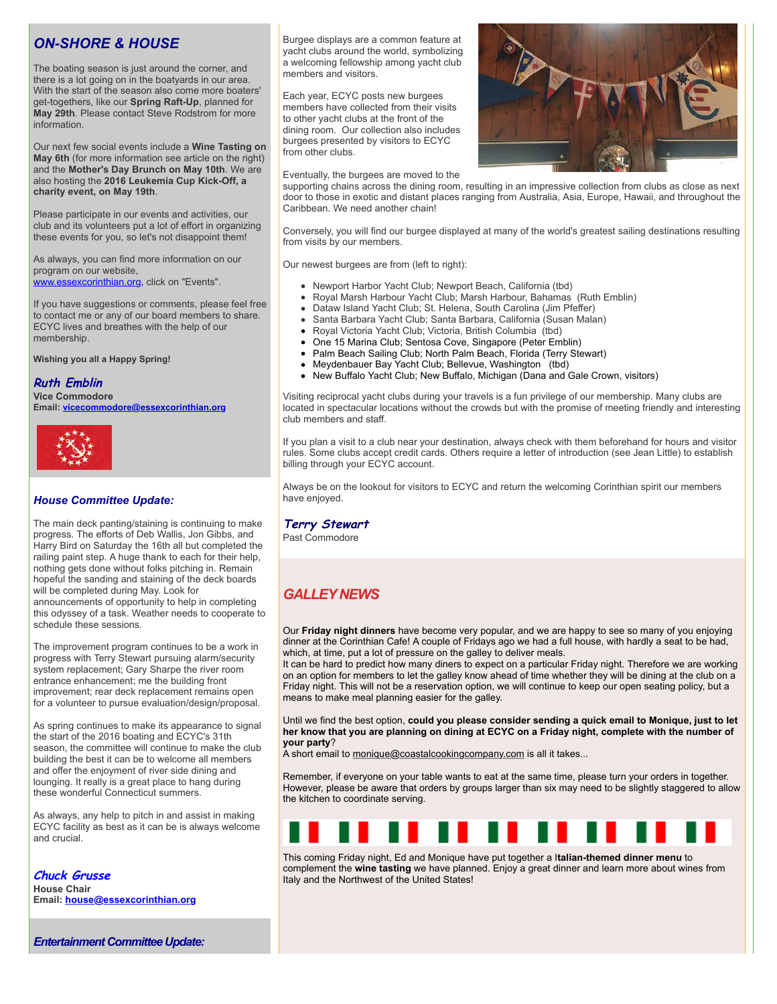# *ON-SHORE & HOUSE*

The boating season is just around the corner, and there is a lot going on in the boatyards in our area. With the start of the season also come more boaters' get-togethers, like our **Spring Raft-Up**, planned for **May 29th**. Please contact Steve Rodstrom for more information.

Our next few social events include a **Wine Tasting on May 6th** (for more information see article on the right) and the **Mother's Day Brunch on May 10th**. We are also hosting the **2016 Leukemia Cup Kick-Off, a charity event, on May 19th**.

Please participate in our events and activities, our club and its volunteers put a lot of effort in organizing these events for you, so let's not disappoint them!

As always, you can find more information on our program on our website, [www.essexcorinthian.org,](http://r20.rs6.net/tn.jsp?e=001K82azs8few3Raw8PaSxsF3S4hXbG_VDt9Jq_HvQeyPFImTOujVvpM5_JMKrdkGv15szAeRVpFveFAFetXFrTl-aQEzh5N2KauCK_ZvcdXD1IR6cH8QeQ9Q==) click on "Events".

If you have suggestions or comments, please feel free to contact me or any of our board members to share. ECYC lives and breathes with the help of our membership.

**Wishing you all a Happy Spring!** 

### **Ruth Emblin**

**Vice Commodore Email: [vicecommodore@essexcorinthian.org](mailto:vicecommodore@essexcorinthian.org)**



### *House Committee Update:*

The main deck panting/staining is continuing to make progress. The efforts of Deb Wallis, Jon Gibbs, and Harry Bird on Saturday the 16th all but completed the railing paint step. A huge thank to each for their help, nothing gets done without folks pitching in. Remain hopeful the sanding and staining of the deck boards will be completed during May. Look for announcements of opportunity to help in completing this odyssey of a task. Weather needs to cooperate to schedule these sessions.

The improvement program continues to be a work in progress with Terry Stewart pursuing alarm/security system replacement; Gary Sharpe the river room entrance enhancement; me the building front improvement; rear deck replacement remains open for a volunteer to pursue evaluation/design/proposal.

As spring continues to make its appearance to signal the start of the 2016 boating and ECYC's 31th season, the committee will continue to make the club building the best it can be to welcome all members and offer the enjoyment of river side dining and lounging. It really is a great place to hang during these wonderful Connecticut summers.

As always, any help to pitch in and assist in making ECYC facility as best as it can be is always welcome and crucial.

**Chuck Grusse House Chair Email: [house@essexcorinthian.org](mailto:house@essexcorinthian.org)** Burgee displays are a common feature at yacht clubs around the world, symbolizing a welcoming fellowship among yacht club members and visitors.

Each year, ECYC posts new burgees members have collected from their visits to other yacht clubs at the front of the dining room. Our collection also includes burgees presented by visitors to ECYC from other clubs.

Eventually, the burgees are moved to the



supporting chains across the dining room, resulting in an impressive collection from clubs as close as next door to those in exotic and distant places ranging from Australia, Asia, Europe, Hawaii, and throughout the Caribbean. We need another chain!

Conversely, you will find our burgee displayed at many of the world's greatest sailing destinations resulting from visits by our members.

Our newest burgees are from (left to right):

- Newport Harbor Yacht Club; Newport Beach, California (tbd)
- Royal Marsh Harbour Yacht Club; Marsh Harbour, Bahamas (Ruth Emblin)
- Dataw Island Yacht Club; St. Helena, South Carolina (Jim Pfeffer)
- Santa Barbara Yacht Club; Santa Barbara, California (Susan Malan)
- Royal Victoria Yacht Club; Victoria, British Columbia (tbd)
- One 15 Marina Club; Sentosa Cove, Singapore (Peter Emblin)
- Palm Beach Sailing Club; North Palm Beach, Florida (Terry Stewart)
- Meydenbauer Bay Yacht Club; Bellevue, Washington (tbd)
- New Buffalo Yacht Club; New Buffalo, Michigan (Dana and Gale Crown, visitors)

Visiting reciprocal yacht clubs during your travels is a fun privilege of our membership. Many clubs are located in spectacular locations without the crowds but with the promise of meeting friendly and interesting club members and staff.

If you plan a visit to a club near your destination, always check with them beforehand for hours and visitor rules. Some clubs accept credit cards. Others require a letter of introduction (see Jean Little) to establish billing through your ECYC account.

Always be on the lookout for visitors to ECYC and return the welcoming Corinthian spirit our members have enjoyed.

### **Terry Stewart**

Past Commodore

# *GALLEY NEWS*

Our **Friday night dinners** have become very popular, and we are happy to see so many of you enjoying dinner at the Corinthian Cafe! A couple of Fridays ago we had a full house, with hardly a seat to be had, which, at time, put a lot of pressure on the galley to deliver meals.

It can be hard to predict how many diners to expect on a particular Friday night. Therefore we are working on an option for members to let the galley know ahead of time whether they will be dining at the club on a Friday night. This will not be a reservation option, we will continue to keep our open seating policy, but a means to make meal planning easier for the galley.

Until we find the best option, **could you please consider sending a quick email to Monique, just to let her know that you are planning on dining at ECYC on a Friday night, complete with the number of your party**?

A short email to [monique@coastalcookingcompany.com](mailto:monique@coastalcookingcompany.com) is all it takes...

Remember, if everyone on your table wants to eat at the same time, please turn your orders in together. However, please be aware that orders by groups larger than six may need to be slightly staggered to allow the kitchen to coordinate serving.



This coming Friday night, Ed and Monique have put together a I**talian-themed dinner menu** to complement the **wine tasting** we have planned. Enjoy a great dinner and learn more about wines from Italy and the Northwest of the United States!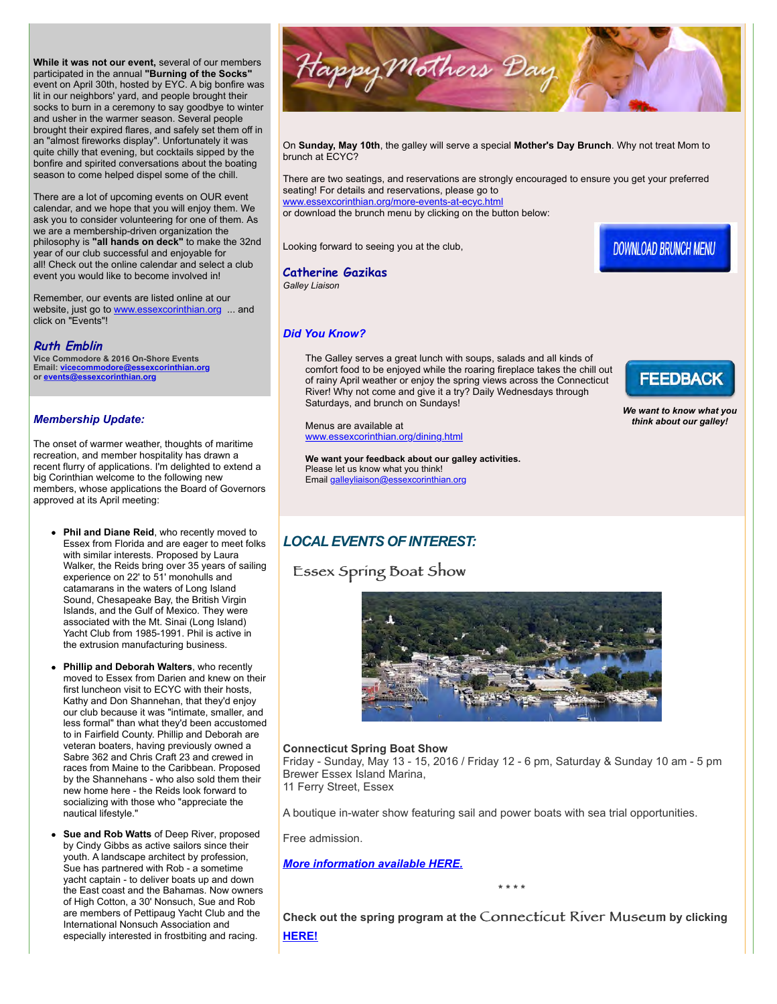**While it was not our event,** several of our members participated in the annual **"Burning of the Socks"** event on April 30th, hosted by EYC. A big bonfire was lit in our neighbors' yard, and people brought their socks to burn in a ceremony to say goodbye to winter and usher in the warmer season. Several people brought their expired flares, and safely set them off in an "almost fireworks display". Unfortunately it was quite chilly that evening, but cocktails sipped by the bonfire and spirited conversations about the boating season to come helped dispel some of the chill.

There are a lot of upcoming events on OUR event calendar, and we hope that you will enjoy them. We ask you to consider volunteering for one of them. As we are a membership-driven organization the philosophy is **"all hands on deck"** to make the 32nd year of our club successful and enjoyable for all! Check out the online calendar and select a club event you would like to become involved in!

Remember, our events are listed online at our website, just go to [www.essexcorinthian.org](http://r20.rs6.net/tn.jsp?e=001K82azs8few3Raw8PaSxsF3S4hXbG_VDt9Jq_HvQeyPFImTOujVvpM5_JMKrdkGv15szAeRVpFveFAFetXFrTl-aQEzh5N2KauCK_ZvcdXD3Y7HbwAQV4lQ==) ... and click on "Events"!

### **Ruth Emblin**

**Vice Commodore & 2016 On-Shore Events Email: [vicecommodore@essexcorinthian.org](mailto:vicecommodore@essexcorinthian.org) or [events@essexcorinthian.org](mailto:events@essexcorinthian.org)**

### *Membership Update:*

The onset of warmer weather, thoughts of maritime recreation, and member hospitality has drawn a recent flurry of applications. I'm delighted to extend a big Corinthian welcome to the following new members, whose applications the Board of Governors approved at its April meeting:

- **Phil and Diane Reid**, who recently moved to Essex from Florida and are eager to meet folks with similar interests. Proposed by Laura Walker, the Reids bring over 35 years of sailing experience on 22' to 51' monohulls and catamarans in the waters of Long Island Sound, Chesapeake Bay, the British Virgin Islands, and the Gulf of Mexico. They were associated with the Mt. Sinai (Long Island) Yacht Club from 1985-1991. Phil is active in the extrusion manufacturing business.
- **Phillip and Deborah Walters**, who recently moved to Essex from Darien and knew on their first luncheon visit to ECYC with their hosts, Kathy and Don Shannehan, that they'd enjoy our club because it was "intimate, smaller, and less formal" than what they'd been accustomed to in Fairfield County. Phillip and Deborah are veteran boaters, having previously owned a Sabre 362 and Chris Craft 23 and crewed in races from Maine to the Caribbean. Proposed by the Shannehans - who also sold them their new home here - the Reids look forward to socializing with those who "appreciate the nautical lifestyle."
- **Sue and Rob Watts** of Deep River, proposed by Cindy Gibbs as active sailors since their youth. A landscape architect by profession, Sue has partnered with Rob - a sometime yacht captain - to deliver boats up and down the East coast and the Bahamas. Now owners of High Cotton, a 30' Nonsuch, Sue and Rob are members of Pettipaug Yacht Club and the International Nonsuch Association and especially interested in frostbiting and racing.



On **Sunday, May 10th**, the galley will serve a special **Mother's Day Brunch**. Why not treat Mom to brunch at ECYC?

There are two seatings, and reservations are strongly encouraged to ensure you get your preferred seating! For details and reservations, please go to

[www.essexcorinthian.org/more-events-at-ecyc.html](http://r20.rs6.net/tn.jsp?e=001K82azs8few3Raw8PaSxsF3S4hXbG_VDt9Jq_HvQeyPFImTOujVvpM5_JMKrdkGv15szAeRVpFveFAFetXFrTl-aQEzh5N2KauCK_ZvcdXD2E7I1b8xsI-kYAEqNAxz5uAuMiYBFLVEimcU3sBPSUOw==) or download the brunch menu by clicking on the button below:

Looking forward to seeing you at the club,

**DOWNLOAD BRUNCH MENU** 

#### **Catherine Gazikas** *Galley Liaison*

### *Did You Know?*

The Galley serves a great lunch with soups, salads and all kinds of comfort food to be enjoyed while the roaring fireplace takes the chill out of rainy April weather or enjoy the spring views across the Connecticut River! Why not come and give it a try? Daily Wednesdays through Saturdays, and brunch on Sundays!

Menus are available at [www.essexcorinthian.org/dining.html](http://r20.rs6.net/tn.jsp?e=001K82azs8few3Raw8PaSxsF3S4hXbG_VDt9Jq_HvQeyPFImTOujVvpM5_JMKrdkGv15szAeRVpFveFAFetXFrTl-aQEzh5N2KauCK_ZvcdXD06vI6965roZHu0uq1hNfco)

**We want your feedback about our galley activities.** Please let us know what you think! Email [galleyliaison@essexcorinthian.org](mailto:galleyliaison@essexcorinthian.org)



*We want to know what you think about our galley!*

# *LOCAL EVENTS OF INTEREST:*

# Essex Spring Boat Show



### **Connecticut Spring Boat Show**

Friday - Sunday, May 13 - 15, 2016 / Friday 12 - 6 pm, Saturday & Sunday 10 am - 5 pm Brewer Essex Island Marina,

11 Ferry Street, Essex

A boutique in-water show featuring sail and power boats with sea trial opportunities.

Free admission.

*[More information available HERE.](http://r20.rs6.net/tn.jsp?e=001K82azs8few3Raw8PaSxsF3S4hXbG_VDt9Jq_HvQeyPFImTOujVvpM5_JMKrdkGv15szAeRVpFveecM5N9Qi5E_sgmt8QkM9RWiLs0SAI76bhlzfC6L3Gzw==)*

**\* \* \* \***

**Check out the spring program at the** Connecticut River Museum **by clicking [HERE!](http://r20.rs6.net/tn.jsp?e=001K82azs8few3Raw8PaSxsF3S4hXbG_VDt9Jq_HvQeyPFImTOujVvpM5_JMKrdkGv15szAeRVpFveecM5N9Qi5EyEfKAkKzdymS5IEGPB3PTg=)**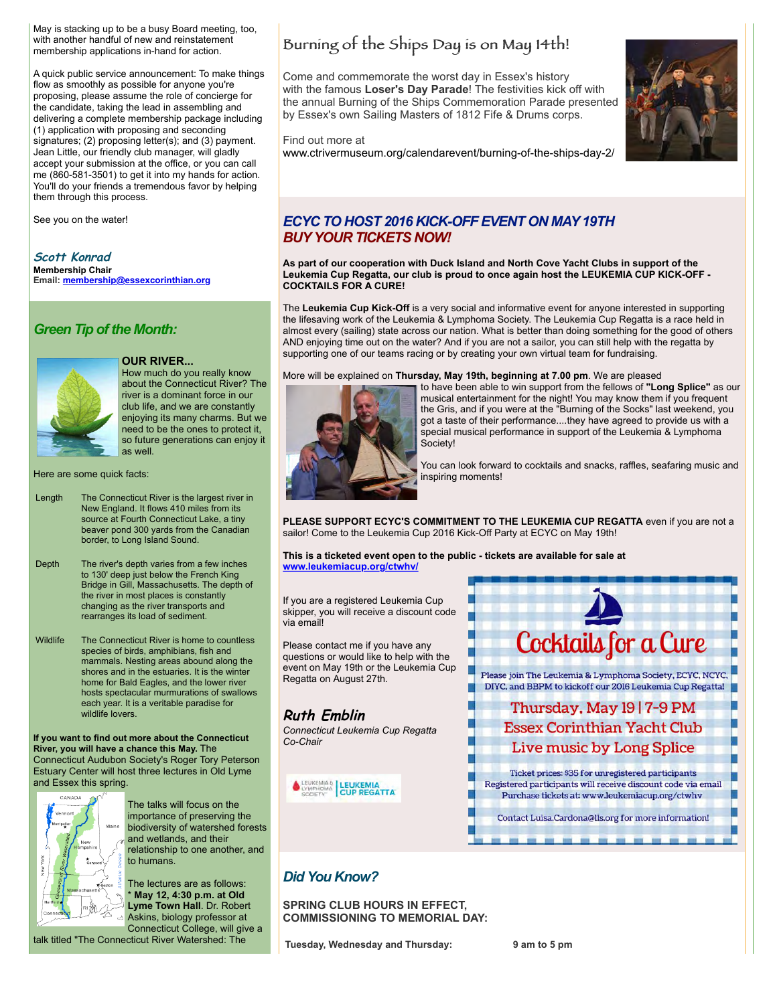May is stacking up to be a busy Board meeting, too, with another handful of new and reinstatement membership applications in-hand for action.

A quick public service announcement: To make things flow as smoothly as possible for anyone you're proposing, please assume the role of concierge for the candidate, taking the lead in assembling and delivering a complete membership package including (1) application with proposing and seconding signatures; (2) proposing letter(s); and (3) payment. Jean Little, our friendly club manager, will gladly accept your submission at the office, or you can call me (860-581-3501) to get it into my hands for action. You'll do your friends a tremendous favor by helping them through this process.

See you on the water!

**Scott Konrad Membership Chair Email: [membership@essexcorinthian.org](mailto:membership@essexcorinthian.org)**

# *Green Tip of the Month:*



### **OUR RIVER...**

How much do you really know about the Connecticut River? The river is a dominant force in our club life, and we are constantly enjoying its many charms. But we need to be the ones to protect it, so future generations can enjoy it as well.

Here are some quick facts:

- Length The Connecticut River is the largest river in New England. It flows 410 miles from its source at Fourth Connecticut Lake, a tiny beaver pond 300 yards from the Canadian border, to Long Island Sound.
- Depth The river's depth varies from a few inches to 130' deep just below the French King Bridge in Gill, Massachusetts. The depth of the river in most places is constantly changing as the river transports and rearranges its load of sediment.
- Wildlife The Connecticut River is home to countless species of birds, amphibians, fish and mammals. Nesting areas abound along the shores and in the estuaries. It is the winter home for Bald Eagles, and the lower river hosts spectacular murmurations of swallows each year. It is a veritable paradise for wildlife lovers.

**If you want to find out more about the Connecticut River, you will have a chance this May.** The Connecticut Audubon Society's Roger Tory Peterson Estuary Center will host three lectures in Old Lyme and Essex this spring.



The talks will focus on the importance of preserving the biodiversity of watershed forests and wetlands, and their relationship to one another, and to humans.

The lectures are as follows: \* **May 12, 4:30 p.m. at Old Lyme Town Hall**. Dr. Robert Askins, biology professor at Connecticut College, will give a

talk titled "The Connecticut River Watershed: The

# Burning of the Ships Day is on May 14th!

Come and commemorate the worst day in Essex's history with the famous **Loser's Day Parade**! The festivities kick off with the annual Burning of the Ships Commemoration Parade presented by Essex's own Sailing Masters of 1812 Fife & Drums corps.

Find out more at



# [www.ctrivermuseum.org/calendarevent/burning-of-the-ships-day-2/](http://r20.rs6.net/tn.jsp?e=001K82azs8few3Raw8PaSxsF3S4hXbG_VDt9Jq_HvQeyPFImTOujVvpM5_JMKrdkGv15szAeRVpFveecM5N9Qi5EyEfKAkKzdymJp7yz4MDUQtONW4rVWgkTtlYGT0RUOoj_bO5c69Ob8Cew1qrV_hxC8nIEyjUGdIt1mfVJ3Yg3RA=)

# *ECYC TO HOST 2016 KICK-OFF EVENT ON MAY 19TH BUY YOUR TICKETS NOW!*

**As part of our cooperation with Duck Island and North Cove Yacht Clubs in support of the Leukemia Cup Regatta, our club is proud to once again host the LEUKEMIA CUP KICK-OFF - COCKTAILS FOR A CURE!**

The **Leukemia Cup Kick-Off** is a very social and informative event for anyone interested in supporting the lifesaving work of the Leukemia & Lymphoma Society. The Leukemia Cup Regatta is a race held in almost every (sailing) state across our nation. What is better than doing something for the good of others AND enjoying time out on the water? And if you are not a sailor, you can still help with the regatta by supporting one of our teams racing or by creating your own virtual team for fundraising.

More will be explained on **Thursday, May 19th, beginning at 7.00 pm**. We are pleased



to have been able to win support from the fellows of **"Long Splice"** as our musical entertainment for the night! You may know them if you frequent the Gris, and if you were at the "Burning of the Socks" last weekend, you got a taste of their performance....they have agreed to provide us with a special musical performance in support of the Leukemia & Lymphoma Society!

You can look forward to cocktails and snacks, raffles, seafaring music and inspiring moments!

**PLEASE SUPPORT ECYC'S COMMITMENT TO THE LEUKEMIA CUP REGATTA** even if you are not a sailor! Come to the Leukemia Cup 2016 Kick-Off Party at ECYC on May 19th!

**This is a ticketed event open to the public - tickets are available for sale at [www.leukemiacup.org/ctwhv/](http://r20.rs6.net/tn.jsp?e=001K82azs8few3Raw8PaSxsF3S4hXbG_VDt9Jq_HvQeyPFImTOujVvpM5_JMKrdkGv15szAeRVpFvfusEUmVWzVN0i2qB5AMXannnsfj-ZqmOcWbIuyNk3eKpjTa5n362qg)**

If you are a registered Leukemia Cup skipper, you will receive a discount code via email!

Please contact me if you have any questions or would like to help with the event on May 19th or the Leukemia Cup Regatta on August 27th.

# **Ruth Emblin**

*Connecticut Leukemia Cup Regatta Co-Chair*





# *Did You Know?*

**SPRING CLUB HOURS IN EFFECT, COMMISSIONING TO MEMORIAL DAY:**

**Tuesday, Wednesday and Thursday: 9 am to 5 pm**